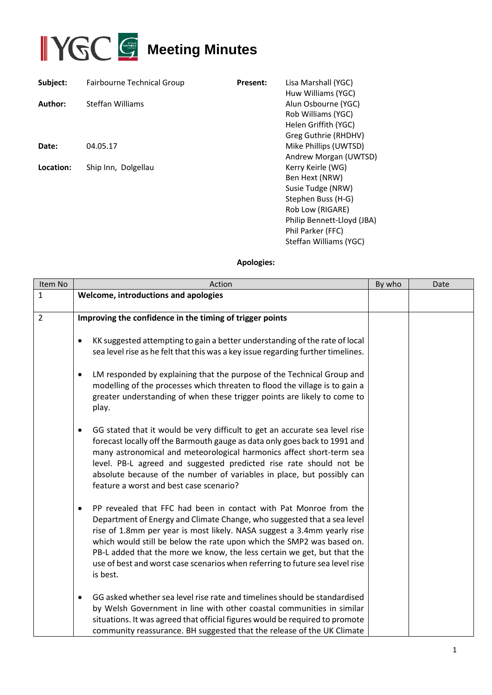

| Subject:  | Fairbourne Technical Group | <b>Present:</b> | Lisa Marshall (YGC)<br>Huw Williams (YGC)                                                                                                                                       |
|-----------|----------------------------|-----------------|---------------------------------------------------------------------------------------------------------------------------------------------------------------------------------|
| Author:   | Steffan Williams           |                 | Alun Osbourne (YGC)<br>Rob Williams (YGC)<br>Helen Griffith (YGC)<br>Greg Guthrie (RHDHV)                                                                                       |
| Date:     | 04.05.17                   |                 | Mike Phillips (UWTSD)<br>Andrew Morgan (UWTSD)                                                                                                                                  |
| Location: | Ship Inn, Dolgellau        |                 | Kerry Keirle (WG)<br>Ben Hext (NRW)<br>Susie Tudge (NRW)<br>Stephen Buss (H-G)<br>Rob Low (RIGARE)<br>Philip Bennett-Lloyd (JBA)<br>Phil Parker (FFC)<br>Steffan Williams (YGC) |

## **Apologies:**

| Item No        | Action                                                                                                                                                                                                                                                                                                                                                                                                                                                                               | By who | Date |
|----------------|--------------------------------------------------------------------------------------------------------------------------------------------------------------------------------------------------------------------------------------------------------------------------------------------------------------------------------------------------------------------------------------------------------------------------------------------------------------------------------------|--------|------|
| 1              | Welcome, introductions and apologies                                                                                                                                                                                                                                                                                                                                                                                                                                                 |        |      |
| $\overline{2}$ | Improving the confidence in the timing of trigger points                                                                                                                                                                                                                                                                                                                                                                                                                             |        |      |
|                | KK suggested attempting to gain a better understanding of the rate of local<br>$\bullet$<br>sea level rise as he felt that this was a key issue regarding further timelines.<br>LM responded by explaining that the purpose of the Technical Group and<br>$\bullet$                                                                                                                                                                                                                  |        |      |
|                | modelling of the processes which threaten to flood the village is to gain a<br>greater understanding of when these trigger points are likely to come to<br>play.                                                                                                                                                                                                                                                                                                                     |        |      |
|                | GG stated that it would be very difficult to get an accurate sea level rise<br>$\bullet$<br>forecast locally off the Barmouth gauge as data only goes back to 1991 and<br>many astronomical and meteorological harmonics affect short-term sea<br>level. PB-L agreed and suggested predicted rise rate should not be<br>absolute because of the number of variables in place, but possibly can<br>feature a worst and best case scenario?                                            |        |      |
|                | PP revealed that FFC had been in contact with Pat Monroe from the<br>$\bullet$<br>Department of Energy and Climate Change, who suggested that a sea level<br>rise of 1.8mm per year is most likely. NASA suggest a 3.4mm yearly rise<br>which would still be below the rate upon which the SMP2 was based on.<br>PB-L added that the more we know, the less certain we get, but that the<br>use of best and worst case scenarios when referring to future sea level rise<br>is best. |        |      |
|                | GG asked whether sea level rise rate and timelines should be standardised<br>$\bullet$<br>by Welsh Government in line with other coastal communities in similar<br>situations. It was agreed that official figures would be required to promote<br>community reassurance. BH suggested that the release of the UK Climate                                                                                                                                                            |        |      |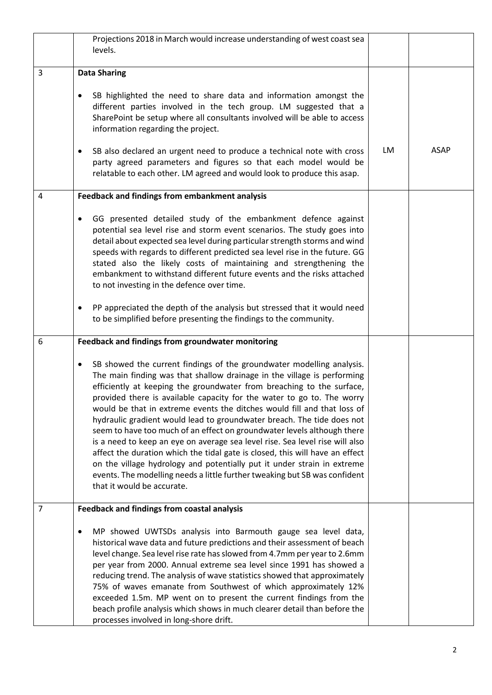|   | Projections 2018 in March would increase understanding of west coast sea<br>levels.                                                                                                                                                                                                                                                                                                                                                                                                                                                                                                                                                                                                                                                                                                                                                                                                                     |    |             |
|---|---------------------------------------------------------------------------------------------------------------------------------------------------------------------------------------------------------------------------------------------------------------------------------------------------------------------------------------------------------------------------------------------------------------------------------------------------------------------------------------------------------------------------------------------------------------------------------------------------------------------------------------------------------------------------------------------------------------------------------------------------------------------------------------------------------------------------------------------------------------------------------------------------------|----|-------------|
| 3 | <b>Data Sharing</b>                                                                                                                                                                                                                                                                                                                                                                                                                                                                                                                                                                                                                                                                                                                                                                                                                                                                                     |    |             |
|   | SB highlighted the need to share data and information amongst the<br>$\bullet$<br>different parties involved in the tech group. LM suggested that a<br>SharePoint be setup where all consultants involved will be able to access<br>information regarding the project.                                                                                                                                                                                                                                                                                                                                                                                                                                                                                                                                                                                                                                  |    |             |
|   | SB also declared an urgent need to produce a technical note with cross<br>$\bullet$<br>party agreed parameters and figures so that each model would be<br>relatable to each other. LM agreed and would look to produce this asap.                                                                                                                                                                                                                                                                                                                                                                                                                                                                                                                                                                                                                                                                       | LM | <b>ASAP</b> |
| 4 | Feedback and findings from embankment analysis                                                                                                                                                                                                                                                                                                                                                                                                                                                                                                                                                                                                                                                                                                                                                                                                                                                          |    |             |
|   | GG presented detailed study of the embankment defence against<br>$\bullet$<br>potential sea level rise and storm event scenarios. The study goes into<br>detail about expected sea level during particular strength storms and wind<br>speeds with regards to different predicted sea level rise in the future. GG<br>stated also the likely costs of maintaining and strengthening the<br>embankment to withstand different future events and the risks attached<br>to not investing in the defence over time.                                                                                                                                                                                                                                                                                                                                                                                         |    |             |
|   | PP appreciated the depth of the analysis but stressed that it would need<br>$\bullet$<br>to be simplified before presenting the findings to the community.                                                                                                                                                                                                                                                                                                                                                                                                                                                                                                                                                                                                                                                                                                                                              |    |             |
| 6 | Feedback and findings from groundwater monitoring                                                                                                                                                                                                                                                                                                                                                                                                                                                                                                                                                                                                                                                                                                                                                                                                                                                       |    |             |
|   | SB showed the current findings of the groundwater modelling analysis.<br>$\bullet$<br>The main finding was that shallow drainage in the village is performing<br>efficiently at keeping the groundwater from breaching to the surface,<br>provided there is available capacity for the water to go to. The worry<br>would be that in extreme events the ditches would fill and that loss of<br>hydraulic gradient would lead to groundwater breach. The tide does not<br>seem to have too much of an effect on groundwater levels although there<br>is a need to keep an eye on average sea level rise. Sea level rise will also<br>affect the duration which the tidal gate is closed, this will have an effect<br>on the village hydrology and potentially put it under strain in extreme<br>events. The modelling needs a little further tweaking but SB was confident<br>that it would be accurate. |    |             |
| 7 | <b>Feedback and findings from coastal analysis</b>                                                                                                                                                                                                                                                                                                                                                                                                                                                                                                                                                                                                                                                                                                                                                                                                                                                      |    |             |
|   | MP showed UWTSDs analysis into Barmouth gauge sea level data,<br>$\bullet$<br>historical wave data and future predictions and their assessment of beach<br>level change. Sea level rise rate has slowed from 4.7mm per year to 2.6mm<br>per year from 2000. Annual extreme sea level since 1991 has showed a<br>reducing trend. The analysis of wave statistics showed that approximately<br>75% of waves emanate from Southwest of which approximately 12%<br>exceeded 1.5m. MP went on to present the current findings from the<br>beach profile analysis which shows in much clearer detail than before the<br>processes involved in long-shore drift.                                                                                                                                                                                                                                               |    |             |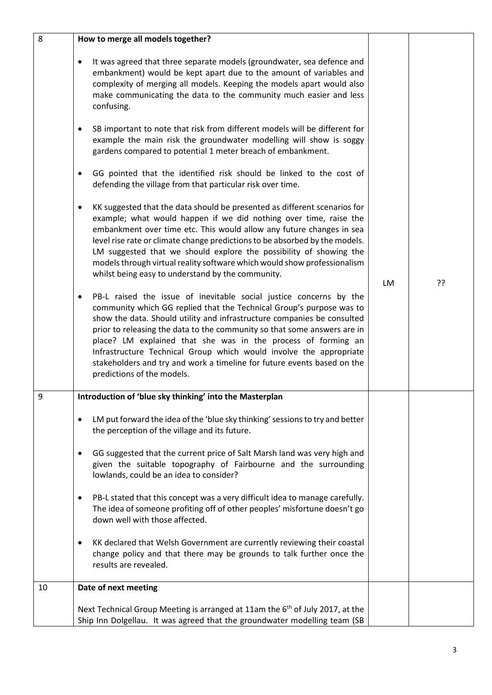| 8  | How to merge all models together?                                                                                                                                                                                                                                                                                                                                                                                                                                                                                                                              |    |    |
|----|----------------------------------------------------------------------------------------------------------------------------------------------------------------------------------------------------------------------------------------------------------------------------------------------------------------------------------------------------------------------------------------------------------------------------------------------------------------------------------------------------------------------------------------------------------------|----|----|
|    | It was agreed that three separate models (groundwater, sea defence and<br>٠<br>embankment) would be kept apart due to the amount of variables and<br>complexity of merging all models. Keeping the models apart would also<br>make communicating the data to the community much easier and less<br>confusing.                                                                                                                                                                                                                                                  |    |    |
|    | SB important to note that risk from different models will be different for<br>$\bullet$<br>example the main risk the groundwater modelling will show is soggy<br>gardens compared to potential 1 meter breach of embankment.                                                                                                                                                                                                                                                                                                                                   |    |    |
|    | GG pointed that the identified risk should be linked to the cost of<br>$\bullet$<br>defending the village from that particular risk over time.                                                                                                                                                                                                                                                                                                                                                                                                                 |    |    |
|    | KK suggested that the data should be presented as different scenarios for<br>$\bullet$<br>example; what would happen if we did nothing over time, raise the<br>embankment over time etc. This would allow any future changes in sea<br>level rise rate or climate change predictions to be absorbed by the models.<br>LM suggested that we should explore the possibility of showing the<br>models through virtual reality software which would show professionalism<br>whilst being easy to understand by the community.                                      | LM | ?? |
|    | PB-L raised the issue of inevitable social justice concerns by the<br>$\bullet$<br>community which GG replied that the Technical Group's purpose was to<br>show the data. Should utility and infrastructure companies be consulted<br>prior to releasing the data to the community so that some answers are in<br>place? LM explained that she was in the process of forming an<br>Infrastructure Technical Group which would involve the appropriate<br>stakeholders and try and work a timeline for future events based on the<br>predictions of the models. |    |    |
| 9  | Introduction of 'blue sky thinking' into the Masterplan                                                                                                                                                                                                                                                                                                                                                                                                                                                                                                        |    |    |
|    | LM put forward the idea of the 'blue sky thinking' sessions to try and better<br>$\bullet$<br>the perception of the village and its future.                                                                                                                                                                                                                                                                                                                                                                                                                    |    |    |
|    | GG suggested that the current price of Salt Marsh land was very high and<br>given the suitable topography of Fairbourne and the surrounding<br>lowlands, could be an idea to consider?                                                                                                                                                                                                                                                                                                                                                                         |    |    |
|    | PB-L stated that this concept was a very difficult idea to manage carefully.<br>$\bullet$<br>The idea of someone profiting off of other peoples' misfortune doesn't go<br>down well with those affected.                                                                                                                                                                                                                                                                                                                                                       |    |    |
|    | KK declared that Welsh Government are currently reviewing their coastal<br>$\bullet$<br>change policy and that there may be grounds to talk further once the<br>results are revealed.                                                                                                                                                                                                                                                                                                                                                                          |    |    |
| 10 | Date of next meeting                                                                                                                                                                                                                                                                                                                                                                                                                                                                                                                                           |    |    |
|    | Next Technical Group Meeting is arranged at 11am the $6th$ of July 2017, at the<br>Ship Inn Dolgellau. It was agreed that the groundwater modelling team (SB                                                                                                                                                                                                                                                                                                                                                                                                   |    |    |